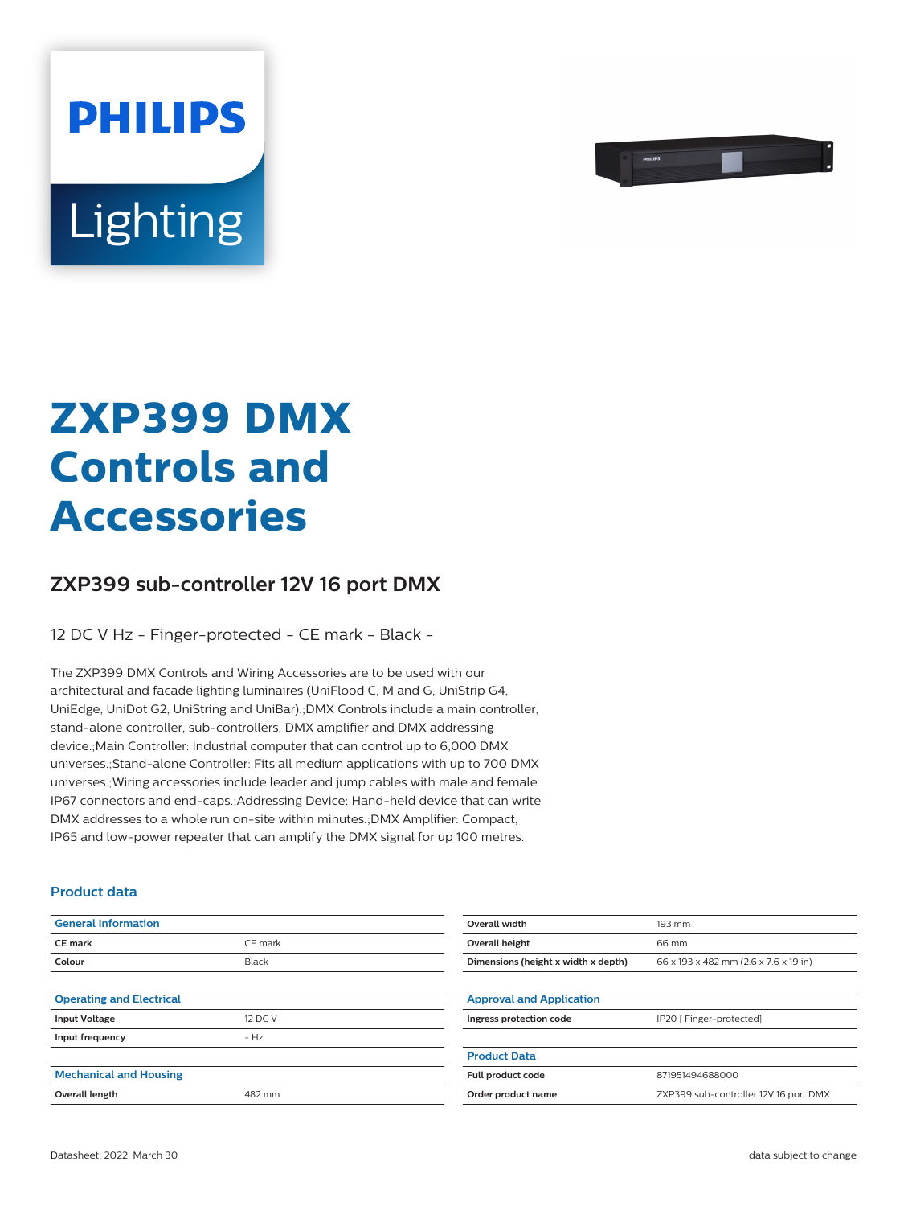

# Lighting

**PHILIPS** 

## **ZXP399 DMX Controls and Accessories**

### **ZXP399 sub-controller 12V 16 port DMX**

12 DC V Hz - Finger-protected - CE mark - Black -

The ZXP399 DMX Controls and Wiring Accessories are to be used with our architectural and facade lighting luminaires (UniFlood C, M and G, UniStrip G4, UniEdge, UniDot G2, UniString and UniBar).;DMX Controls include a main controller, stand-alone controller, sub-controllers, DMX amplifier and DMX addressing device.;Main Controller: Industrial computer that can control up to 6,000 DMX universes.;Stand-alone Controller: Fits all medium applications with up to 700 DMX universes.;Wiring accessories include leader and jump cables with male and female IP67 connectors and end-caps.;Addressing Device: Hand-held device that can write DMX addresses to a whole run on-site within minutes.;DMX Amplifier: Compact, IP65 and low-power repeater that can amplify the DMX signal for up 100 metres.

#### **Product data**

| <b>General Information</b>      |         | Overall width                       | 193 mm                                |
|---------------------------------|---------|-------------------------------------|---------------------------------------|
| CE mark                         | CE mark | Overall height                      | 66 mm                                 |
| Colour                          | Black   | Dimensions (height x width x depth) | 66 x 193 x 482 mm (2.6 x 7.6 x 19 in) |
|                                 |         |                                     |                                       |
| <b>Operating and Electrical</b> |         | <b>Approval and Application</b>     |                                       |
| <b>Input Voltage</b>            | 12 DC V | Ingress protection code             | IP20 [ Finger-protected]              |
| Input frequency                 | $- Hz$  |                                     |                                       |
|                                 |         | <b>Product Data</b>                 |                                       |
| <b>Mechanical and Housing</b>   |         | Full product code                   | 871951494688000                       |
| Overall length                  | 482 mm  | Order product name                  | ZXP399 sub-controller 12V 16 port DMX |
|                                 |         |                                     |                                       |